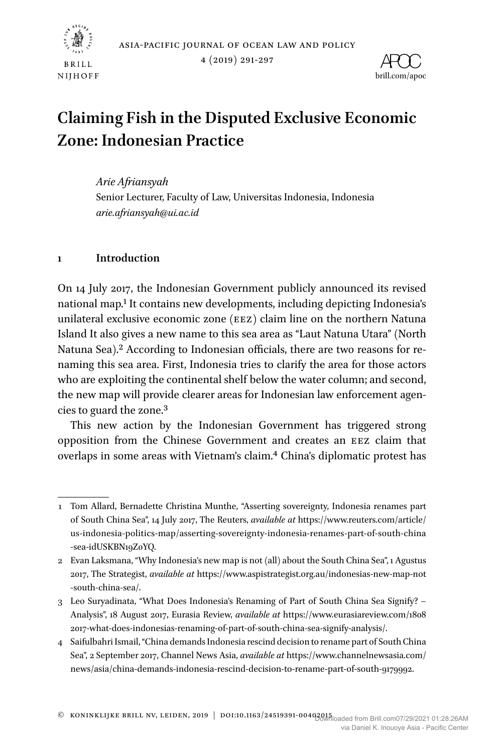



4 (2019) 291-297



# **Claiming Fish in the Disputed Exclusive Economic Zone: Indonesian Practice**

*Arie Afriansyah* Senior Lecturer, Faculty of Law, Universitas Indonesia, Indonesia *arie.afriansyah@ui.ac.id*

## **1 Introduction**

On 14 July 2017, the Indonesian Government publicly announced its revised national map[.1](#page-0-0) It contains new developments, including depicting Indonesia's unilateral exclusive economic zone (eez) claim line on the northern Natuna Island It also gives a new name to this sea area as "Laut Natuna Utara" (North Natuna Sea).<sup>2</sup> According to Indonesian officials, there are two reasons for renaming this sea area. First, Indonesia tries to clarify the area for those actors who are exploiting the continental shelf below the water column; and second, the new map will provide clearer areas for Indonesian law enforcement agencies to guard the zone.[3](#page-0-2)

This new action by the Indonesian Government has triggered strong opposition from the Chinese Government and creates an eez claim that overlaps in some areas with Vietnam's claim.[4](#page-0-3) China's diplomatic protest has

<span id="page-0-0"></span><sup>1</sup> Tom Allard, Bernadette Christina Munthe, "Asserting sovereignty, Indonesia renames part of South China Sea", 14 July 2017, The Reuters, *available at* https://www.reuters.com/article/ us-indonesia-politics-map/asserting-sovereignty-indonesia-renames-part-of-south-china -sea-idUSKBN19Z0YQ.

<span id="page-0-1"></span><sup>2</sup> Evan Laksmana, "Why Indonesia's new map is not (all) about the South China Sea", 1 Agustus 2017, The Strategist, *available at* https://www.aspistrategist.org.au/indonesias-new-map-not -south-china-sea/.

<span id="page-0-2"></span><sup>3</sup> Leo Suryadinata, "What Does Indonesia's Renaming of Part of South China Sea Signify? – Analysis", 18 August 2017, Eurasia Review, *available at* https://www.eurasiareview.com/1808 2017-what-does-indonesias-renaming-of-part-of-south-china-sea-signify-analysis/.

<span id="page-0-3"></span><sup>4</sup> Saifulbahri Ismail, "China demands Indonesia rescind decision to rename part of South China Sea", 2 September 2017, Channel News Asia, *available at* https://www.channelnewsasia.com/ news/asia/china-demands-indonesia-rescind-decision-to-rename-part-of-south-9179992.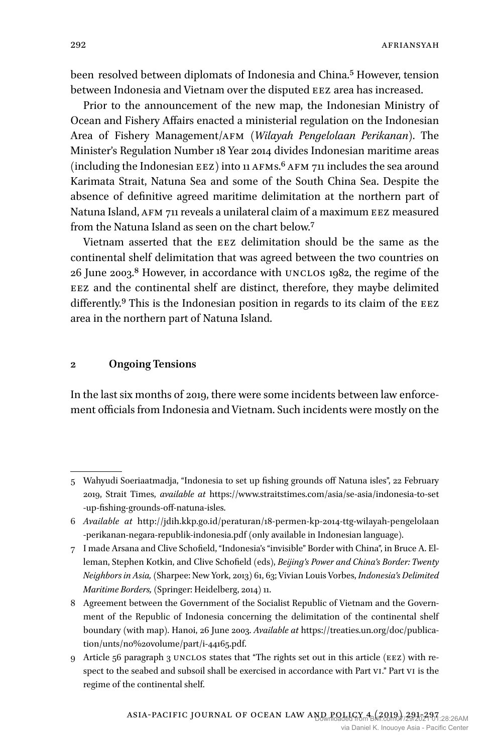been resolved between diplomats of Indonesia and China[.5](#page-1-0) However, tension between Indonesia and Vietnam over the disputed EEZ area has increased.

Prior to the announcement of the new map, the Indonesian Ministry of Ocean and Fishery Affairs enacted a ministerial regulation on the Indonesian Area of Fishery Management/afm (*Wilayah Pengelolaan Perikanan*). The Minister's Regulation Number 18 Year 2014 divides Indonesian maritime areas  $(including the Indonesia EEZ) into 11 AFMs<sup>6</sup> AFM 711 includes the sea around$  $(including the Indonesia EEZ) into 11 AFMs<sup>6</sup> AFM 711 includes the sea around$  $(including the Indonesia EEZ) into 11 AFMs<sup>6</sup> AFM 711 includes the sea around$ Karimata Strait, Natuna Sea and some of the South China Sea. Despite the absence of definitive agreed maritime delimitation at the northern part of Natuna Island, afm 711 reveals a unilateral claim of a maximum eez measured from the Natuna Island as seen on the chart below.[7](#page-1-2)

Vietnam asserted that the eez delimitation should be the same as the continental shelf delimitation that was agreed between the two countries on 26 June 2003.[8](#page-1-3) However, in accordance with unclos 1982, the regime of the eez and the continental shelf are distinct, therefore, they maybe delimited differently.<sup>9</sup> This is the Indonesian position in regards to its claim of the  $E$ EZ area in the northern part of Natuna Island.

#### **2 Ongoing Tensions**

In the last six months of 2019, there were some incidents between law enforcement officials from Indonesia and Vietnam. Such incidents were mostly on the

<span id="page-1-0"></span><sup>5</sup> Wahyudi Soeriaatmadja, "Indonesia to set up fishing grounds off Natuna isles", 22 February 2019, Strait Times, *available at* https://www.straitstimes.com/asia/se-asia/indonesia-to-set -up-fishing-grounds-off-natuna-isles.

<span id="page-1-1"></span><sup>6</sup> *Available at* http://jdih.kkp.go.id/peraturan/18-permen-kp-2014-ttg-wilayah-pengelolaan -perikanan-negara-republik-indonesia.pdf (only available in Indonesian language).

<span id="page-1-2"></span><sup>7</sup> I made Arsana and Clive Schofield, "Indonesia's "invisible" Border with China", in Bruce A. Elleman, Stephen Kotkin, and Clive Schofield (eds), *Beijing's Power and China's Border: Twenty Neighbors in Asia,* (Sharpee: New York, 2013) 61, 63; Vivian Louis Vorbes, *Indonesia's Delimited Maritime Borders,* (Springer: Heidelberg, 2014) 11.

<span id="page-1-3"></span><sup>8</sup> Agreement between the Government of the Socialist Republic of Vietnam and the Government of the Republic of Indonesia concerning the delimitation of the continental shelf boundary (with map). Hanoi, 26 June 2003. *Available at* https://treaties.un.org/doc/publication/unts/no%20volume/part/i-44165.pdf.

<span id="page-1-4"></span><sup>9</sup> Article 56 paragraph 3 unclos states that "The rights set out in this article (eez) with respect to the seabed and subsoil shall be exercised in accordance with Part vi." Part vi is the regime of the continental shelf.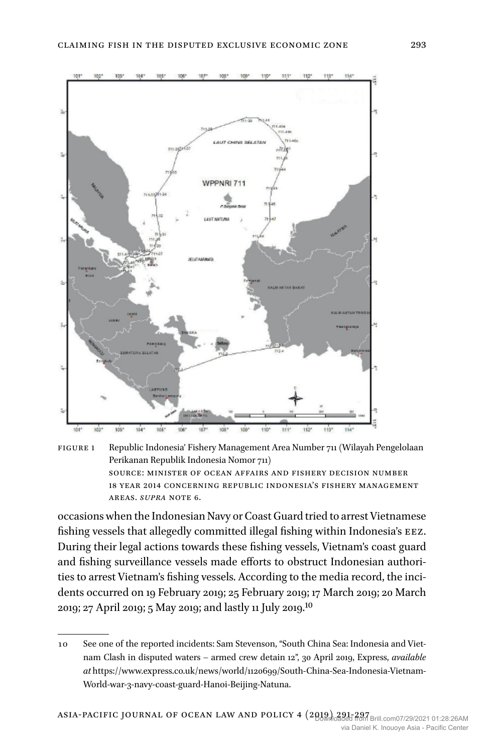



occasions when the Indonesian Navy or Coast Guard tried to arrest Vietnamese fishing vessels that allegedly committed illegal fishing within Indonesia's eez. During their legal actions towards these fishing vessels, Vietnam's coast guard and fishing surveillance vessels made efforts to obstruct Indonesian authorities to arrest Vietnam's fishing vessels. According to the media record, the incidents occurred on 19 February 2019; 25 February 2019; 17 March 2019; 20 March 2019; 27 April 2019; 5 May 2019; and lastly 11 July 2019.[10](#page-2-0)

<span id="page-2-0"></span><sup>10</sup> See one of the reported incidents: Sam Stevenson, "South China Sea: Indonesia and Vietnam Clash in disputed waters – armed crew detain 12", 30 April 2019, Express, *available at* https://www.express.co.uk/news/world/1120699/South-China-Sea-Indonesia-Vietnam-World-war-3-navy-coast-guard-Hanoi-Beijing-Natuna.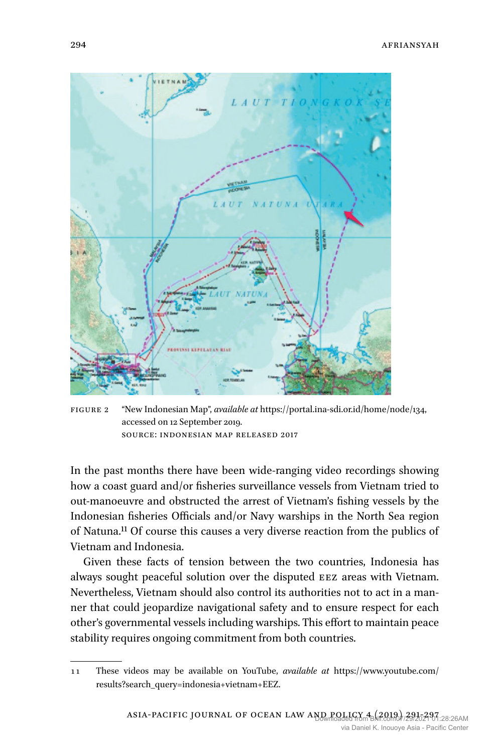

Figure 2 "New Indonesian Map", *available at* https://portal.ina-sdi.or.id/home/node/134, accessed on 12 September 2019. Source: Indonesian Map released 2017

In the past months there have been wide-ranging video recordings showing how a coast guard and/or fisheries surveillance vessels from Vietnam tried to out-manoeuvre and obstructed the arrest of Vietnam's fishing vessels by the Indonesian fisheries Officials and/or Navy warships in the North Sea region of Natuna[.11](#page-3-0) Of course this causes a very diverse reaction from the publics of Vietnam and Indonesia.

Given these facts of tension between the two countries, Indonesia has always sought peaceful solution over the disputed EEZ areas with Vietnam. Nevertheless, Vietnam should also control its authorities not to act in a manner that could jeopardize navigational safety and to ensure respect for each other's governmental vessels including warships. This effort to maintain peace stability requires ongoing commitment from both countries.

<span id="page-3-0"></span><sup>11</sup> These videos may be available on YouTube, *available at* https://www.youtube.com/ results?search\_query=indonesia+vietnam+EEZ.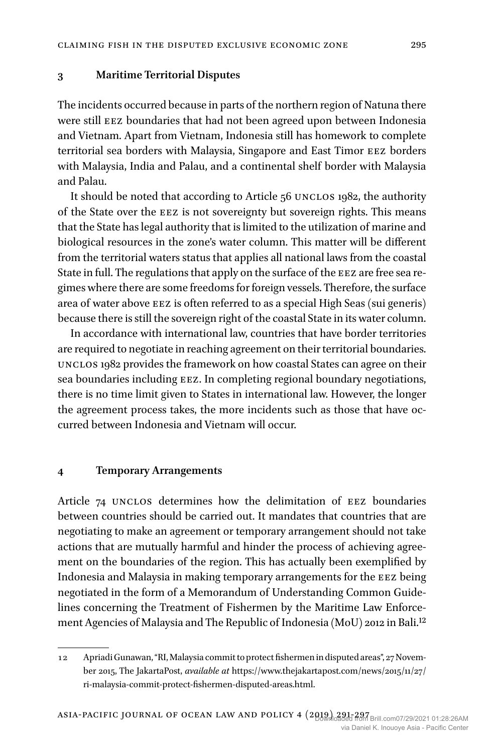#### **3 Maritime Territorial Disputes**

The incidents occurred because in parts of the northern region of Natuna there were still EEZ boundaries that had not been agreed upon between Indonesia and Vietnam. Apart from Vietnam, Indonesia still has homework to complete territorial sea borders with Malaysia, Singapore and East Timor eez borders with Malaysia, India and Palau, and a continental shelf border with Malaysia and Palau.

It should be noted that according to Article 56 UNCLOS 1982, the authority of the State over the eez is not sovereignty but sovereign rights. This means that the State has legal authority that is limited to the utilization of marine and biological resources in the zone's water column. This matter will be different from the territorial waters status that applies all national laws from the coastal State in full. The regulations that apply on the surface of the EEZ are free sea regimes where there are some freedoms for foreign vessels. Therefore, the surface area of water above EEZ is often referred to as a special High Seas (sui generis) because there is still the sovereign right of the coastal State in its water column.

In accordance with international law, countries that have border territories are required to negotiate in reaching agreement on their territorial boundaries. unclos 1982 provides the framework on how coastal States can agree on their sea boundaries including EEZ. In completing regional boundary negotiations, there is no time limit given to States in international law. However, the longer the agreement process takes, the more incidents such as those that have occurred between Indonesia and Vietnam will occur.

#### **4 Temporary Arrangements**

Article 74 UNCLOS determines how the delimitation of EEZ boundaries between countries should be carried out. It mandates that countries that are negotiating to make an agreement or temporary arrangement should not take actions that are mutually harmful and hinder the process of achieving agreement on the boundaries of the region. This has actually been exemplified by Indonesia and Malaysia in making temporary arrangements for the eez being negotiated in the form of a Memorandum of Understanding Common Guidelines concerning the Treatment of Fishermen by the Maritime Law Enforcement Agencies of Malaysia and The Republic of Indonesia (MoU) 2012 in Bali.[12](#page-4-0)

<span id="page-4-0"></span><sup>12</sup> Apriadi Gunawan, "RI, Malaysia commit to protect fishermen in disputed areas", 27 November 2015, The JakartaPost, *available at* https://www.thejakartapost.com/news/2015/11/27/ ri-malaysia-commit-protect-fishermen-disputed-areas.html.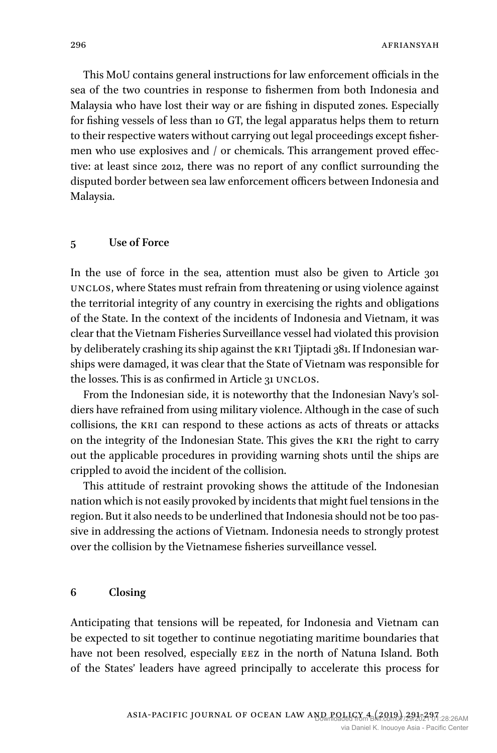**AFRIANSYAH** 

This MoU contains general instructions for law enforcement officials in the sea of the two countries in response to fishermen from both Indonesia and Malaysia who have lost their way or are fishing in disputed zones. Especially for fishing vessels of less than 10 GT, the legal apparatus helps them to return to their respective waters without carrying out legal proceedings except fishermen who use explosives and / or chemicals. This arrangement proved effective: at least since 2012, there was no report of any conflict surrounding the disputed border between sea law enforcement officers between Indonesia and Malaysia.

### **5 Use of Force**

In the use of force in the sea, attention must also be given to Article 301 unclos, where States must refrain from threatening or using violence against the territorial integrity of any country in exercising the rights and obligations of the State. In the context of the incidents of Indonesia and Vietnam, it was clear that the Vietnam Fisheries Surveillance vessel had violated this provision by deliberately crashing its ship against the KRI Tjiptadi 381. If Indonesian warships were damaged, it was clear that the State of Vietnam was responsible for the losses. This is as confirmed in Article 31 UNCLOS.

From the Indonesian side, it is noteworthy that the Indonesian Navy's soldiers have refrained from using military violence. Although in the case of such collisions, the kri can respond to these actions as acts of threats or attacks on the integrity of the Indonesian State. This gives the KRI the right to carry out the applicable procedures in providing warning shots until the ships are crippled to avoid the incident of the collision.

This attitude of restraint provoking shows the attitude of the Indonesian nation which is not easily provoked by incidents that might fuel tensions in the region. But it also needs to be underlined that Indonesia should not be too passive in addressing the actions of Vietnam. Indonesia needs to strongly protest over the collision by the Vietnamese fisheries surveillance vessel.

## **6 Closing**

Anticipating that tensions will be repeated, for Indonesia and Vietnam can be expected to sit together to continue negotiating maritime boundaries that have not been resolved, especially EEZ in the north of Natuna Island. Both of the States' leaders have agreed principally to accelerate this process for